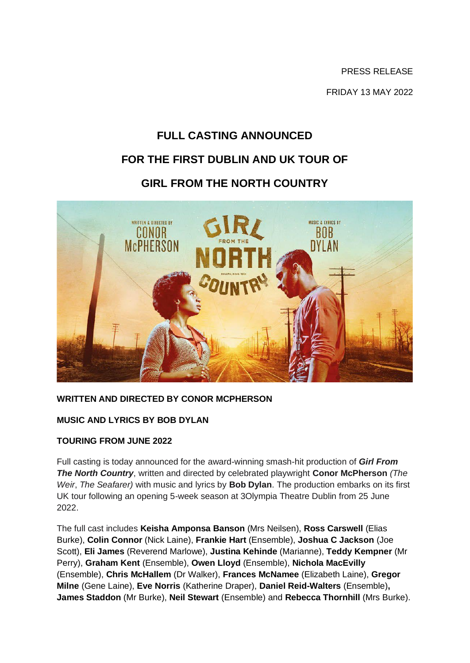PRESS RELEASE FRIDAY 13 MAY 2022

# **FULL CASTING ANNOUNCED FOR THE FIRST DUBLIN AND UK TOUR OF GIRL FROM THE NORTH COUNTRY**



# **WRITTEN AND DIRECTED BY CONOR MCPHERSON**

#### **MUSIC AND LYRICS BY BOB DYLAN**

#### **TOURING FROM JUNE 2022**

Full casting is today announced for the award-winning smash-hit production of *Girl From The North Country*, written and directed by celebrated playwright **Conor McPherson** *(The Weir*, *The Seafarer)* with music and lyrics by **Bob Dylan**. The production embarks on its first UK tour following an opening 5-week season at 3Olympia Theatre Dublin from 25 June 2022.

The full cast includes **Keisha Amponsa Banson** (Mrs Neilsen), **Ross Carswell** (Elias Burke), **Colin Connor** (Nick Laine), **Frankie Hart** (Ensemble), **Joshua C Jackson** (Joe Scott), **Eli James** (Reverend Marlowe), **Justina Kehinde** (Marianne), **Teddy Kempner** (Mr Perry), **Graham Kent** (Ensemble), **Owen Lloyd** (Ensemble), **Nichola MacEvilly**  (Ensemble), **Chris McHallem** (Dr Walker), **Frances McNamee** (Elizabeth Laine), **Gregor Milne** (Gene Laine), **Eve Norris** (Katherine Draper), **Daniel Reid-Walters** (Ensemble)**, James Staddon** (Mr Burke), **Neil Stewart** (Ensemble) and **Rebecca Thornhill** (Mrs Burke).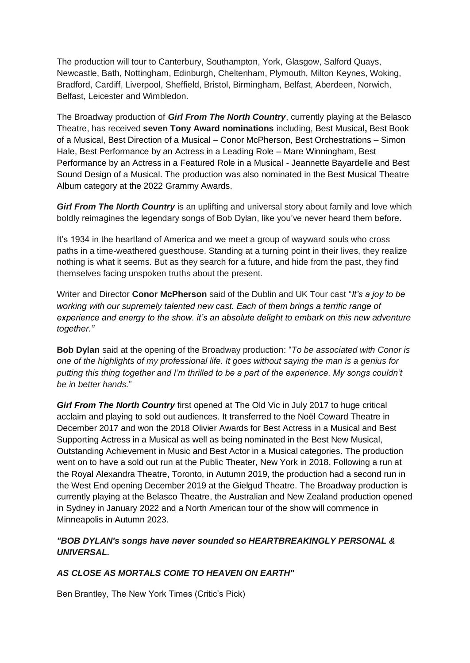The production will tour to Canterbury, Southampton, York, Glasgow, Salford Quays, Newcastle, Bath, Nottingham, Edinburgh, Cheltenham, Plymouth, Milton Keynes, Woking, Bradford, Cardiff, Liverpool, Sheffield, Bristol, Birmingham, Belfast, Aberdeen, Norwich, Belfast, Leicester and Wimbledon.

The Broadway production of *Girl From The North Country*, currently playing at the Belasco Theatre, has received **seven Tony Award nominations** including, Best Musical**,** Best Book of a Musical, Best Direction of a Musical – Conor McPherson, Best Orchestrations – Simon Hale, Best Performance by an Actress in a Leading Role – Mare Winningham, Best Performance by an Actress in a Featured Role in a Musical - Jeannette Bayardelle and Best Sound Design of a Musical. The production was also nominated in the Best Musical Theatre Album category at the 2022 Grammy Awards.

**Girl From The North Country** is an uplifting and universal story about family and love which boldly reimagines the legendary songs of Bob Dylan, like you've never heard them before.

It's 1934 in the heartland of America and we meet a group of wayward souls who cross paths in a time-weathered guesthouse. Standing at a turning point in their lives, they realize nothing is what it seems. But as they search for a future, and hide from the past, they find themselves facing unspoken truths about the present.

Writer and Director **Conor McPherson** said of the Dublin and UK Tour cast "*It's a joy to be working with our supremely talented new cast. Each of them brings a terrific range of experience and energy to the show. it's an absolute delight to embark on this new adventure together."*

**Bob Dylan** said at the opening of the Broadway production: "*To be associated with Conor is one of the highlights of my professional life. It goes without saying the man is a genius for putting this thing together and I'm thrilled to be a part of the experience. My songs couldn't be in better hands.*"

**Girl From The North Country** first opened at The Old Vic in July 2017 to huge critical acclaim and playing to sold out audiences. It transferred to the Noël Coward Theatre in December 2017 and won the 2018 Olivier Awards for Best Actress in a Musical and Best Supporting Actress in a Musical as well as being nominated in the Best New Musical, Outstanding Achievement in Music and Best Actor in a Musical categories. The production went on to have a sold out run at the Public Theater, New York in 2018. Following a run at the Royal Alexandra Theatre, Toronto, in Autumn 2019, the production had a second run in the West End opening December 2019 at the Gielgud Theatre. The Broadway production is currently playing at the Belasco Theatre, the Australian and New Zealand production opened in Sydney in January 2022 and a North American tour of the show will commence in Minneapolis in Autumn 2023.

# *"BOB DYLAN's songs have never sounded so HEARTBREAKINGLY PERSONAL & UNIVERSAL.*

#### *AS CLOSE AS MORTALS COME TO HEAVEN ON EARTH"*

Ben Brantley, The New York Times (Critic's Pick)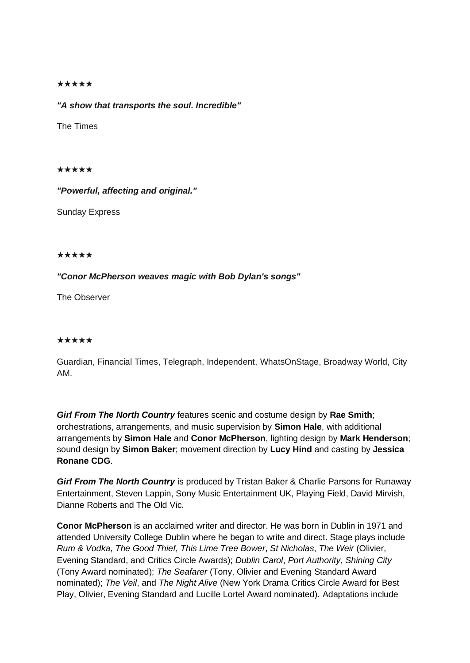#### ★★★★★

*"A show that transports the soul. Incredible"*

The Times

★★★★★

*"Powerful, affecting and original."*

Sunday Express

#### ★★★★★

#### *"Conor McPherson weaves magic with Bob Dylan's songs"*

The Observer

#### ★★★★★

Guardian, Financial Times, Telegraph, Independent, WhatsOnStage, Broadway World, City AM.

*Girl From The North Country* features scenic and costume design by **Rae Smith**; orchestrations, arrangements, and music supervision by **Simon Hale**, with additional arrangements by **Simon Hale** and **Conor McPherson**, lighting design by **Mark Henderson**; sound design by **Simon Baker**; movement direction by **Lucy Hind** and casting by **Jessica Ronane CDG**.

*Girl From The North Country* is produced by Tristan Baker & Charlie Parsons for Runaway Entertainment, Steven Lappin, Sony Music Entertainment UK, Playing Field, David Mirvish, Dianne Roberts and The Old Vic.

**Conor McPherson** is an acclaimed writer and director. He was born in Dublin in 1971 and attended University College Dublin where he began to write and direct. Stage plays include *Rum & Vodka*, *The Good Thief*, *This Lime Tree Bower*, *St Nicholas*, *The Weir* (Olivier, Evening Standard, and Critics Circle Awards); *Dublin Carol*, *Port Authority*, *Shining City* (Tony Award nominated); *The Seafarer* (Tony, Olivier and Evening Standard Award nominated); *The Veil*, and *The Night Alive* (New York Drama Critics Circle Award for Best Play, Olivier, Evening Standard and Lucille Lortel Award nominated). Adaptations include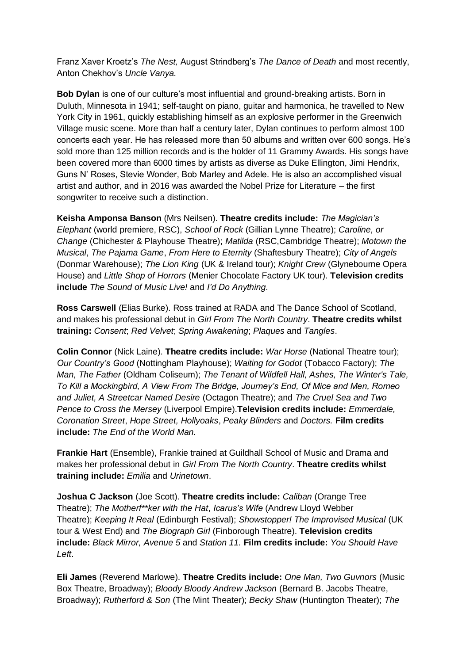Franz Xaver Kroetz's *The Nest,* August Strindberg's *The Dance of Death* and most recently, Anton Chekhov's *Uncle Vanya.*

**Bob Dylan** is one of our culture's most influential and ground-breaking artists. Born in Duluth, Minnesota in 1941; self-taught on piano, guitar and harmonica, he travelled to New York City in 1961, quickly establishing himself as an explosive performer in the Greenwich Village music scene. More than half a century later, Dylan continues to perform almost 100 concerts each year. He has released more than 50 albums and written over 600 songs. He's sold more than 125 million records and is the holder of 11 Grammy Awards. His songs have been covered more than 6000 times by artists as diverse as Duke Ellington, Jimi Hendrix, Guns N' Roses, Stevie Wonder, Bob Marley and Adele. He is also an accomplished visual artist and author, and in 2016 was awarded the Nobel Prize for Literature – the first songwriter to receive such a distinction.

**Keisha Amponsa Banson** (Mrs Neilsen). **Theatre credits include:** *The Magician's Elephant* (world premiere, RSC), *School of Rock* (Gillian Lynne Theatre); *Caroline, or Change* (Chichester & Playhouse Theatre); *Matilda* (RSC,Cambridge Theatre); *Motown the Musical*, *The Pajama Game*, *From Here to Eternity* (Shaftesbury Theatre); *City of Angels* (Donmar Warehouse); *The Lion King* (UK & Ireland tour); *Knight Crew* (Glynebourne Opera House) and *Little Shop of Horrors* (Menier Chocolate Factory UK tour). **Television credits include** *The Sound of Music Live!* and *I'd Do Anything*.

**Ross Carswell** (Elias Burke). Ross trained at RADA and The Dance School of Scotland, and makes his professional debut in *Girl From The North Country*. **Theatre credits whilst training:** *Consent*; *Red Velvet*; *Spring Awakening*; *Plaques* and *Tangles*.

**Colin Connor** (Nick Laine). **Theatre credits include:** *War Horse* (National Theatre tour); *Our Country's Good* (Nottingham Playhouse); *Waiting for Godot* (Tobacco Factory); *The Man, The Father* (Oldham Coliseum); *The Tenant of Wildfell Hall, Ashes, The Winter's Tale, To Kill a Mockingbird, A View From The Bridge, Journey's End, Of Mice and Men, Romeo and Juliet, A Streetcar Named Desire* (Octagon Theatre); and *The Cruel Sea and Two Pence to Cross the Mersey* (Liverpool Empire).**Television credits include:** *Emmerdale, Coronation Street*, *Hope Street, Hollyoaks*, *Peaky Blinders* and *Doctors.* **Film credits include:** *The End of the World Man.*

**Frankie Hart** (Ensemble), Frankie trained at Guildhall School of Music and Drama and makes her professional debut in *Girl From The North Country*. **Theatre credits whilst training include:** *Emilia* and *Urinetown*.

**Joshua C Jackson** (Joe Scott). **Theatre credits include:** *Caliban* (Orange Tree Theatre); *The Motherf\*\*ker with the Hat*, *Icarus's Wife* (Andrew Lloyd Webber Theatre); *Keeping It Real* (Edinburgh Festival); *Showstopper! The Improvised Musical* (UK tour & West End) and *The Biograph Girl* (Finborough Theatre). **Television credits include:** *Black Mirror, Avenue 5* and *Station 11.* **Film credits include:** *You Should Have Left*.

**Eli James** (Reverend Marlowe). **Theatre Credits include:** *One Man, Two Guvnors* (Music Box Theatre, Broadway); *Bloody Bloody Andrew Jackson* (Bernard B. Jacobs Theatre, Broadway); *Rutherford & Son* (The Mint Theater); *Becky Shaw* (Huntington Theater); *The*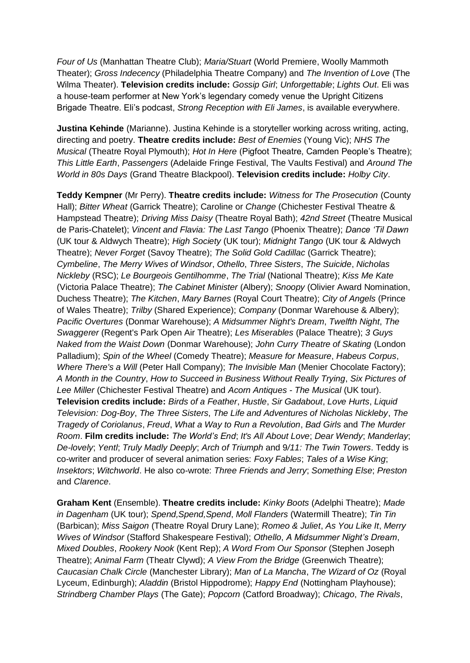*Four of Us* (Manhattan Theatre Club); *Maria/Stuart* (World Premiere, Woolly Mammoth Theater); *Gross Indecency* (Philadelphia Theatre Company) and *The Invention of Love* (The Wilma Theater). **Television credits include:** *Gossip Girl*; *Unforgettable*; *Lights Out*. Eli was a house-team performer at New York's legendary comedy venue the Upright Citizens Brigade Theatre. Eli's podcast, *Strong Reception with Eli James*, is available everywhere.

**Justina Kehinde** (Marianne). Justina Kehinde is a storyteller working across writing, acting, directing and poetry. **Theatre credits include:** *Best of Enemies* (Young Vic); *NHS The Musical* (Theatre Royal Plymouth); *Hot In Here* (Pigfoot Theatre, Camden People's Theatre); *This Little Earth*, *Passengers* (Adelaide Fringe Festival, The Vaults Festival) and *Around The World in 80s Days* (Grand Theatre Blackpool). **Television credits include:** *Holby City*.

**Teddy Kempner** (Mr Perry). **Theatre credits include:** *Witness for The Prosecution* (County Hall); *Bitter Wheat* (Garrick Theatre); Caroline or *Change* (Chichester Festival Theatre & Hampstead Theatre); *Driving Miss Daisy* (Theatre Royal Bath); *42nd Street* (Theatre Musical de Paris-Chatelet); *Vincent and Flavia: The Last Tango* (Phoenix Theatre); *Dance 'Til Dawn* (UK tour & Aldwych Theatre); *High Society* (UK tour); *Midnight Tango* (UK tour & Aldwych Theatre); *Never Forget* (Savoy Theatre); *The Solid Gold Cadillac* (Garrick Theatre); *Cymbeline*, *The Merry Wives of Windsor*, *Othello*, *Three Sisters*, *The Suicide*, *Nicholas Nickleby* (RSC); *Le Bourgeois Gentilhomme*, *The Trial* (National Theatre); *Kiss Me Kate* (Victoria Palace Theatre); *The Cabinet Minister* (Albery); *Snoopy* (Olivier Award Nomination, Duchess Theatre); *The Kitchen*, *Mary Barnes* (Royal Court Theatre); *City of Angels* (Prince of Wales Theatre); *Trilby* (Shared Experience); *Company* (Donmar Warehouse & Albery); *Pacific Overtures* (Donmar Warehouse); *A Midsummer Night's Dream*, *Twelfth Night*, *The Swaggerer* (Regent's Park Open Air Theatre); *Les Miserables* (Palace Theatre); *3 Guys Naked from the Waist Down* (Donmar Warehouse); *John Curry Theatre of Skating* (London Palladium); *Spin of the Wheel* (Comedy Theatre); *Measure for Measure*, *Habeus Corpus*, *Where There's a Will* (Peter Hall Company); *The Invisible Man* (Menier Chocolate Factory); *A Month in the Country*, *How to Succeed in Business Without Really Trying*, *Six Pictures of Lee Miller* (Chichester Festival Theatre) and *Acorn Antiques - The Musical* (UK tour). **Television credits include:** *Birds of a Feather*, *Hustle*, *Sir Gadabout*, *Love Hurts*, *Liquid Television: Dog-Boy*, *The Three Sisters*, *The Life and Adventures of Nicholas Nickleby*, *The Tragedy of Coriolanus*, *Freud*, *What a Way to Run a Revolution*, *Bad Girls* and *The Murder Room*. **Film credits include:** *The World's End*; *It's All About Love*; *Dear Wendy*; *Manderlay*; *De-lovely*; *Yentl*; *Truly Madly Deeply*; *Arch of Triumph* and 9*/11: The Twin Towers*. Teddy is co-writer and producer of several animation series: *Foxy Fables*; *Tales of a Wise King*; *Insektors*; *Witchworld*. He also co-wrote: *Three Friends and Jerry*; *Something Else*; *Preston* and *Clarence*.

**Graham Kent** (Ensemble). **Theatre credits include:** *Kinky Boots* (Adelphi Theatre); *Made in Dagenham* (UK tour); *Spend,Spend,Spend*, *Moll Flanders* (Watermill Theatre); *Tin Tin* (Barbican); *Miss Saigon* (Theatre Royal Drury Lane); *Romeo & Juliet*, *As You Like It*, *Merry Wives of Windsor* (Stafford Shakespeare Festival); *Othello*, *A Midsummer Night's Dream*, *Mixed Doubles*, *Rookery Nook* (Kent Rep); *A Word From Our Sponsor* (Stephen Joseph Theatre); *Animal Farm* (Theatr Clywd); *A View From the Bridge* (Greenwich Theatre); *Caucasian Chalk Circle* (Manchester Library); *Man of La Mancha*, *The Wizard of Oz* (Royal Lyceum, Edinburgh); *Aladdin* (Bristol Hippodrome); *Happy End* (Nottingham Playhouse); *Strindberg Chamber Plays* (The Gate); *Popcorn* (Catford Broadway); *Chicago*, *The Rivals*,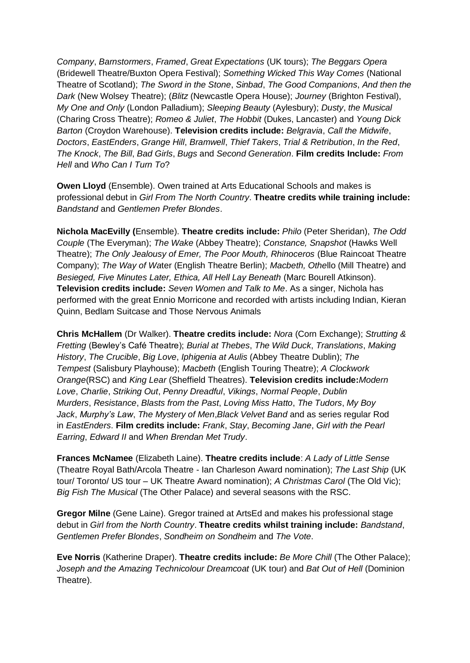*Company*, *Barnstormers*, *Framed*, *Great Expectations* (UK tours); *The Beggars Opera* (Bridewell Theatre/Buxton Opera Festival); *Something Wicked This Way Comes* (National Theatre of Scotland); *The Sword in the Stone*, *Sinbad*, *The Good Companions*, *And then the Dark* (New Wolsey Theatre); (*Blitz* (Newcastle Opera House); *Journey* (Brighton Festival), *My One and Only* (London Palladium); *Sleeping Beauty* (Aylesbury); *Dusty*, *the Musical* (Charing Cross Theatre); *Romeo & Juliet*, *The Hobbit* (Dukes, Lancaster) and *Young Dick Barton* (Croydon Warehouse). **Television credits include:** *Belgravia*, *Call the Midwife*, *Doctors*, *EastEnders*, *Grange Hill*, *Bramwell*, *Thief Takers*, *Trial & Retribution*, *In the Red*, *The Knock*, *The Bill*, *Bad Girls*, *Bugs* and *Second Generation*. **Film credits Include:** *From Hell* and *Who Can I Turn To*?

**Owen Lloyd** (Ensemble). Owen trained at Arts Educational Schools and makes is professional debut in *Girl From The North Country*. **Theatre credits while training include:** *Bandstand* and *Gentlemen Prefer Blondes*.

**Nichola MacEvilly (**Ensemble). **Theatre credits include:** *Philo* (Peter Sheridan), *The Odd Couple* (The Everyman); *The Wake* (Abbey Theatre); *Constance, Snapshot* (Hawks Well Theatre); *The Only Jealousy of Emer, The Poor Mouth, Rhinoceros* (Blue Raincoat Theatre Company); *The Way of Wa*ter (English Theatre Berlin); *Macbeth, Othe*llo (Mill Theatre) and *Besieged, Five Minutes Later, Ethica, All Hell Lay Beneath* (Marc Bourell Atkinson). **Television credits include:** *Seven Women and Talk to Me*. As a singer, Nichola has performed with the great Ennio Morricone and recorded with artists including Indian, Kieran Quinn, Bedlam Suitcase and Those Nervous Animals

**Chris McHallem** (Dr Walker). **Theatre credits include:** *Nora* (Corn Exchange); *Strutting & Fretting* (Bewley's Café Theatre); *Burial at Thebes*, *The Wild Duck*, *Translations*, *Making History*, *The Crucible*, *Big Love*, *Iphigenia at Aulis* (Abbey Theatre Dublin); *The Tempest* (Salisbury Playhouse); *Macbeth* (English Touring Theatre); *A Clockwork Orange*(RSC) and *King Lear* (Sheffield Theatres). **Television credits include:***Modern Love*, *Charlie*, *Striking Out*, *Penny Dreadful*, *Vikings*, *Normal People*, *Dublin Murders*, *Resistance*, *Blasts from the Past*, *Loving Miss Hatto*, *The Tudors*, *My Boy Jack*, *Murphy's Law*, *The Mystery of Men*,*Black Velvet Band* and as series regular Rod in *EastEnders*. **Film credits include:** *Frank*, *Stay*, *Becoming Jane*, *Girl with the Pearl Earring*, *Edward II* and *When Brendan Met Trudy*.

**Frances McNamee** (Elizabeth Laine). **Theatre credits include**: *A Lady of Little Sense*  (Theatre Royal Bath/Arcola Theatre - Ian Charleson Award nomination); *The Last Ship* (UK tour/ Toronto/ US tour – UK Theatre Award nomination); *A Christmas Carol* (The Old Vic); *Big Fish The Musical* (The Other Palace) and several seasons with the RSC.

**Gregor Milne** (Gene Laine). Gregor trained at ArtsEd and makes his professional stage debut in *Girl from the North Country*. **Theatre credits whilst training include:** *Bandstand*, *Gentlemen Prefer Blondes*, *Sondheim on Sondheim* and *The Vote*.

**Eve Norris** (Katherine Draper). **Theatre credits include:** *Be More Chill* (The Other Palace); *Joseph and the Amazing Technicolour Dreamcoat* (UK tour) and *Bat Out of Hell* (Dominion Theatre).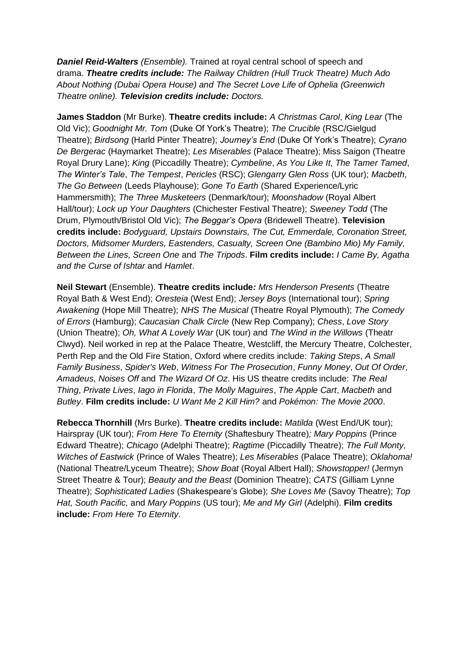*Daniel Reid-Walters (Ensemble).* Trained at royal central school of speech and drama. *Theatre credits include: The Railway Children (Hull Truck Theatre) Much Ado About Nothing (Dubai Opera House) and The Secret Love Life of Ophelia (Greenwich Theatre online). Television credits include: Doctors.*

**James Staddon** (Mr Burke). **Theatre credits include:** *A Christmas Carol*, *King Lear* (The Old Vic); *Goodnight Mr. Tom* (Duke Of York's Theatre); *The Crucible* (RSC/Gielgud Theatre); *Birdsong* (Harld Pinter Theatre); *Journey's End* (Duke Of York's Theatre); *Cyrano De Bergerac* (Haymarket Theatre); *Les Miserables* (Palace Theatre); Miss Saigon (Theatre Royal Drury Lane); *King* (Piccadilly Theatre); *Cymbeline*, *As You Like It*, *The Tamer Tamed*, *The Winter's Tale*, *The Tempest*, *Pericles* (RSC); *Glengarry Glen Ross* (UK tour); *Macbeth*, *The Go Between* (Leeds Playhouse); *Gone To Earth* (Shared Experience/Lyric Hammersmith); *The Three Musketeers* (Denmark/tour); *Moonshadow* (Royal Albert Hall/tour); *Lock up Your Daughters* (Chichester Festival Theatre); *Sweeney Todd* (The Drum, Plymouth/Bristol Old Vic); *The Beggar's Opera* (Bridewell Theatre). **Television credits include:** *Bodyguard, Upstairs Downstairs, The Cut, Emmerdale, Coronation Street, Doctors, Midsomer Murders, Eastenders, Casualty, Screen One (Bambino Mio) My Family, Between the Lines, Screen One* and *The Tripods*. **Film credits include:** *I Came By, Agatha and the Curse of Ishtar* and *Hamlet*.

**Neil Stewart** (Ensemble). **Theatre credits include***: Mrs Henderson Presents* (Theatre Royal Bath & West End); *Oresteia* (West End); *Jersey Boys* (International tour); *Spring Awakening* (Hope Mill Theatre); *NHS The Musical* (Theatre Royal Plymouth); *The Comedy of Errors* (Hamburg); *Caucasian Chalk Circle* (New Rep Company); *Chess*, *Love Story* (Union Theatre); *Oh, What A Lovely War* (UK tour) and *The Wind in the Willows* (Theatr Clwyd). Neil worked in rep at the Palace Theatre, Westcliff, the Mercury Theatre, Colchester, Perth Rep and the Old Fire Station, Oxford where credits include: *Taking Steps*, *A Small Family Business*, *Spider's Web*, *Witness For The Prosecution*, *Funny Money*, *Out Of Order*, *Amadeus*, *Noises Off* and *The Wizard Of Oz*. His US theatre credits include: *The Real Thing*, *Private Lives*, *Iago in Florida*, *The Molly Maguires*, *The Apple Cart*, *Macbeth* and *Butley*. **Film credits include:** *U Want Me 2 Kill Him?* and *Pokémon: The Movie 2000*.

**Rebecca Thornhill** (Mrs Burke). **Theatre credits include:** *Matilda* (West End/UK tour); Hairspray (UK tour); *From Here To Eternity* (Shaftesbury Theatre)*; Mary Poppins* (Prince Edward Theatre); *Chicago* (Adelphi Theatre); *Ragtime* (Piccadilly Theatre); *The Full Monty, Witches of Eastwick* (Prince of Wales Theatre); *Les Miserables* (Palace Theatre); *Oklahoma!* (National Theatre/Lyceum Theatre); *Show Boat* (Royal Albert Hall); *Showstopper!* (Jermyn Street Theatre & Tour); *Beauty and the Beast* (Dominion Theatre); *CATS* (Gilliam Lynne Theatre); *Sophisticated Ladies* (Shakespeare's Globe); *She Loves Me* (Savoy Theatre); *Top Hat, South Pacific,* and *Mary Poppins* (US tour); *Me and My Girl* (Adelphi). **Film credits include:** *From Here To Eternity*.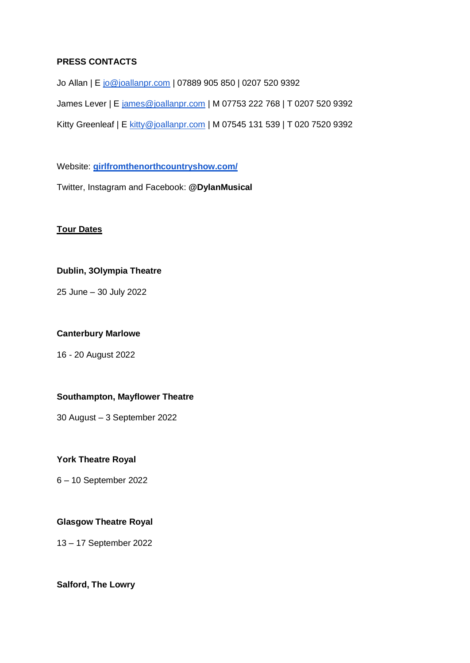## **PRESS CONTACTS**

Jo Allan | E [jo@joallanpr.com](mailto:jo@joallanpr.com) | 07889 905 850 | 0207 520 9392 James Lever | E [james@joallanpr.com](mailto:james@joallanpr.com) | M 07753 222 768 | T 0207 520 9392 Kitty Greenleaf | E [kitty@joallanpr.com](mailto:kitty@joallanpr.com) | M 07545 131 539 | T 020 7520 9392

Website: **[girlfromthenorthcountryshow.com/](https://girlfromthenorthcountryshow.com/)**

Twitter, Instagram and Facebook: **@DylanMusical**

# **Tour Dates**

# **Dublin, 3Olympia Theatre**

25 June – 30 July 2022

## **Canterbury Marlowe**

16 - 20 August 2022

#### **Southampton, Mayflower Theatre**

30 August – 3 September 2022

#### **York Theatre Royal**

6 – 10 September 2022

# **Glasgow Theatre Royal**

13 – 17 September 2022

**Salford, The Lowry**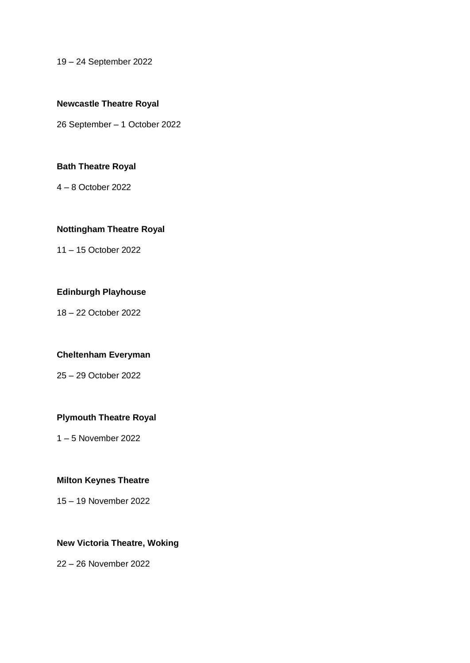19 – 24 September 2022

#### **Newcastle Theatre Royal**

26 September – 1 October 2022

#### **Bath Theatre Royal**

4 – 8 October 2022

#### **Nottingham Theatre Royal**

11 – 15 October 2022

## **Edinburgh Playhouse**

18 – 22 October 2022

## **Cheltenham Everyman**

25 – 29 October 2022

# **Plymouth Theatre Royal**

1 – 5 November 2022

# **Milton Keynes Theatre**

15 – 19 November 2022

## **New Victoria Theatre, Woking**

22 – 26 November 2022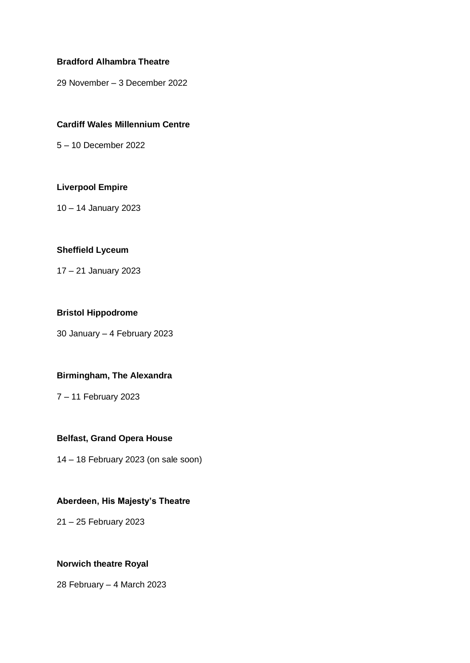#### **Bradford Alhambra Theatre**

29 November – 3 December 2022

#### **Cardiff Wales Millennium Centre**

5 – 10 December 2022

#### **Liverpool Empire**

10 – 14 January 2023

#### **Sheffield Lyceum**

17 – 21 January 2023

#### **Bristol Hippodrome**

30 January – 4 February 2023

# **Birmingham, The Alexandra**

7 – 11 February 2023

## **Belfast, Grand Opera House**

14 – 18 February 2023 (on sale soon)

# **Aberdeen, His Majesty's Theatre**

21 – 25 February 2023

#### **Norwich theatre Royal**

28 February – 4 March 2023